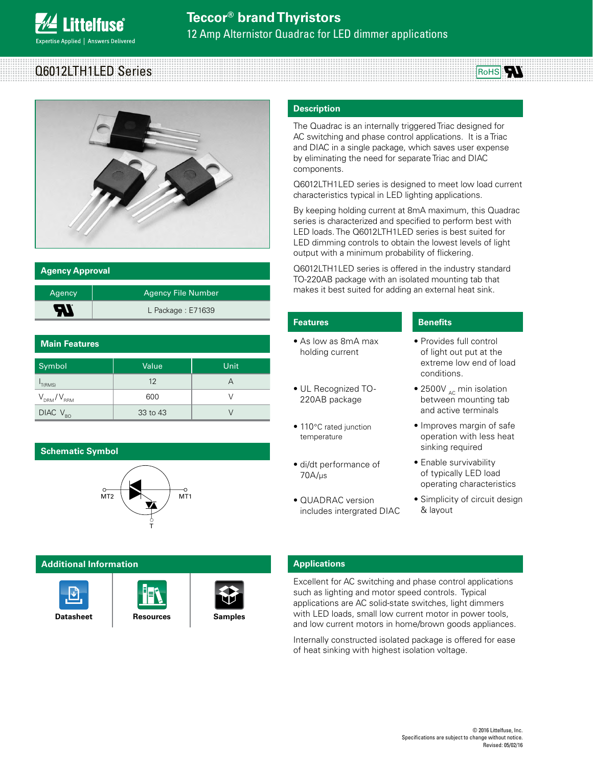pertise Applied | Answers Delivered

**ittelfuse** 

# 12 Amp Alternistor Quadrac for LED dimmer applications





| <b>Agency Approval</b> |                           |  |
|------------------------|---------------------------|--|
| Agency                 | <b>Agency File Number</b> |  |
| 57                     | L Package: E71639         |  |

| <b>Main Features</b> |          |      |  |  |
|----------------------|----------|------|--|--|
| Symbol               | Value    | Unit |  |  |
| T(RMS)               | 12       | А    |  |  |
| $V_{DRM}/V_{RRM}$    | 600      |      |  |  |
| $DIAC$ $V_{BO}$      | 33 to 43 |      |  |  |

## **Schematic Symbol**



## **Additional Information**







## **Description**

The Quadrac is an internally triggered Triac designed for AC switching and phase control applications. It is a Triac and DIAC in a single package, which saves user expense by eliminating the need for separate Triac and DIAC components.

Q6012LTH1LED series is designed to meet low load current characteristics typical in LED lighting applications.

By keeping holding current at 8mA maximum, this Quadrac series is characterized and specified to perform best with LED loads. The Q6012LTH1LED series is best suited for LED dimming controls to obtain the lowest levels of light output with a minimum probability of flickering.

Q6012LTH1LED series is offered in the industry standard TO-220AB package with an isolated mounting tab that makes it best suited for adding an external heat sink.

| <b>Features</b>                                | <b>Benefits</b>                                                                              |
|------------------------------------------------|----------------------------------------------------------------------------------------------|
| $\bullet$ As low as 8mA max<br>holding current | • Provides full control<br>of light out put at the<br>extreme low end of load<br>conditions. |
| • UL Recognized TO-<br>220AB package           | • 2500 $V_{AC}$ min isolation<br>between mounting tab<br>and active terminals                |
| • 110°C rated junction<br>temperature          | • Improves margin of safe<br>operation with less heat<br>sinking required                    |
| • di/dt performance of<br>70A/us               | • Enable survivability<br>of typically LED load<br>operating characteristics                 |
| • QUADRAC version<br>includes intergrated DIAC | • Simplicity of circuit design<br>& layout                                                   |

## **Applications**

Excellent for AC switching and phase control applications such as lighting and motor speed controls. Typical applications are AC solid-state switches, light dimmers with LED loads, small low current motor in power tools, and low current motors in home/brown goods appliances.

Internally constructed isolated package is offered for ease of heat sinking with highest isolation voltage.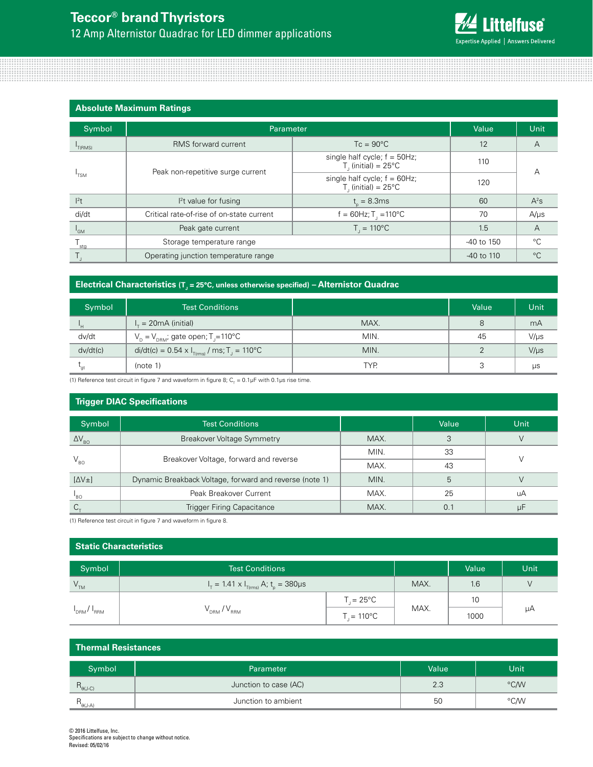

## **Absolute Maximum Ratings**

| Symbol                    | Parameter                                 | Value                                                               | Unit       |                |  |
|---------------------------|-------------------------------------------|---------------------------------------------------------------------|------------|----------------|--|
| T(RMS)                    | RMS forward current                       | $Tc = 90^{\circ}C$                                                  | 12         | A              |  |
| 'TSM                      | Peak non-repetitive surge current         | single half cycle; $f = 50Hz$ ;<br>$T1$ (initial) = 25 $^{\circ}$ C | 110        | А              |  |
|                           |                                           | single half cycle; $f = 60$ Hz;<br>$T1$ (initial) = 25°C            | 120        |                |  |
| $l^2t$                    | $l2t$ value for fusing                    | $t_{0} = 8.3$ ms                                                    | 60         | $A^2s$         |  |
| di/dt                     | Critical rate-of-rise of on-state current | $f = 60$ Hz; T <sub>1</sub> = 110 °C                                | 70         | $A/\mu s$      |  |
| $I_{GM}$                  | Peak gate current                         | $T_{1} = 110^{\circ}C$                                              | 1.5        | $\overline{A}$ |  |
| $\mathsf{F}_{\text{stg}}$ | Storage temperature range                 |                                                                     | -40 to 150 | °C             |  |
|                           | Operating junction temperature range      |                                                                     | -40 to 110 | $^{\circ}C$    |  |

## **Electrical Characteristics** (T<sub>J</sub> = 25°C, unless otherwise specified) – Alternistor Quadrac

| Symbol   | <b>Test Conditions</b>                                                  |      | Value | Unit      |
|----------|-------------------------------------------------------------------------|------|-------|-----------|
| 'н       | $I_r = 20 \text{mA}$ (initial)                                          | MAX. | 8     | mA        |
| dv/dt    | $V_p = V_{pRM}$ ; gate open; T <sub>j</sub> =110°C                      | MIN. | 45    | $V/\mu s$ |
| dv/dt(c) | di/dt(c) = $0.54 \times I_{\text{T(rms)}}$ / ms; T <sub>J</sub> = 110°C | MIN. |       | $V/\mu s$ |
|          | (note 1)                                                                | TYP. |       | μs        |

(1) Reference test circuit in figure 7 and waveform in figure 8;  $C_{\tau}$  = 0.1µF with 0.1µs rise time.

## **Trigger DIAC Specifications** Symbol | Test Conditions Value Unit Value Unit ΔV<sub>BO</sub> | Breakover Voltage Symmetry | MAX. | 3 | V  $V_{B0}$  Breakover Voltage, forward and reverse MIN. 33 V  $MAX.$  43 [ΔV±] Dynamic Breakback Voltage, forward and reverse (note 1) MIN. 6 5 V  $I_{\rm BO}$ Peak Breakover Current and MAX. (a) 25 UA  $C_{\tau}$  and  $C_{\tau}$  are a Trigger Firing Capacitance and  $\vert$  MAX.  $\vert$  0.1  $\vert$  uF

(1) Reference test circuit in figure 7 and waveform in figure 8.

| <b>Static Characteristics</b> |                                                     |                    |      |       |      |
|-------------------------------|-----------------------------------------------------|--------------------|------|-------|------|
| Symbol                        | <b>Test Conditions</b>                              |                    |      | Value | Unit |
| $\mathsf{V}_{\mathsf{TM}}$    | $I_T = 1.41 \times I_{T(rms)}$ A; $t_p = 380 \mu s$ |                    | MAX. | 1.6   |      |
| $I_{DRM}/I_{RRM}$             |                                                     | $T = 25^{\circ}C$  |      | 10    |      |
|                               | $V_{DRM}$ / $V_{RRM}$                               | $T = 110^{\circ}C$ | MAX. | 1000  | μA   |

## **Thermal Resistances** Symbol Parameter Parameter (Parameter Parameter Parameter Parameter Parameter Parameter Parameter Parameter Par  $R_{\theta(J-C)}$  and  $R_{\theta(J-C)}$  are  $\theta$  and  $\theta$  are  $\theta$  are  $\theta$  are  $\theta$  are  $\theta$  are  $\theta$  are  $\theta$  and  $\theta$  are  $\theta$  are  $\theta$  are  $\theta$  are  $\theta$  are  $\theta$  and  $\theta$  are  $\theta$  are  $\theta$  are  $\theta$  are  $\theta$  are  $\theta$  are  $\theta$  and  $\theta$  $R_{\theta(J-A)}$  Junction to ambient 50  $\sim$  °C/W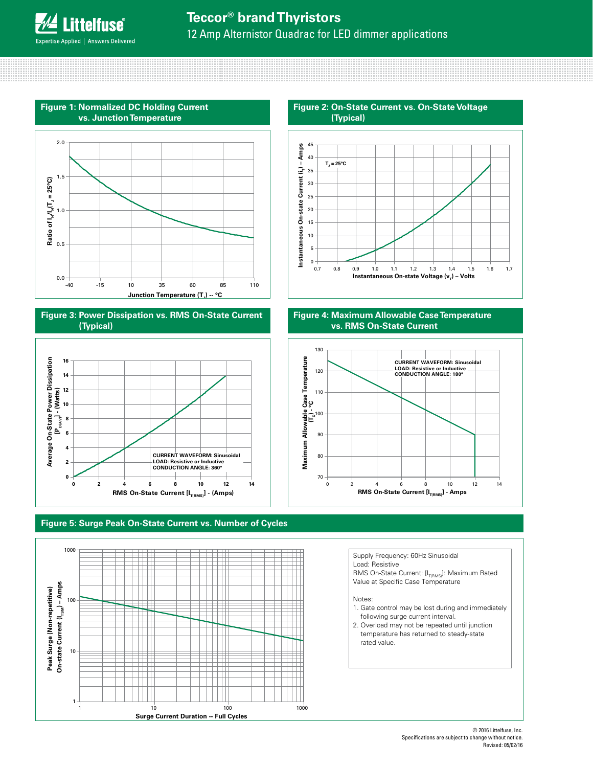



**Figure 3: Power Dissipation vs. RMS On-State Current (Typical)**



### **Figure 5: Surge Peak On-State Current vs. Number of Cycles**









Supply Frequency: 60Hz Sinusoidal Load: Resistive

RMS On-State Current:  $[I_{T(\text{RMS})}]$ : Maximum Rated Value at Specific Case Temperature

Notes:

- 1. Gate control may be lost during and immediately following surge current interval.
- 2. Overload may not be repeated until junction temperature has returned to steady-state rated value.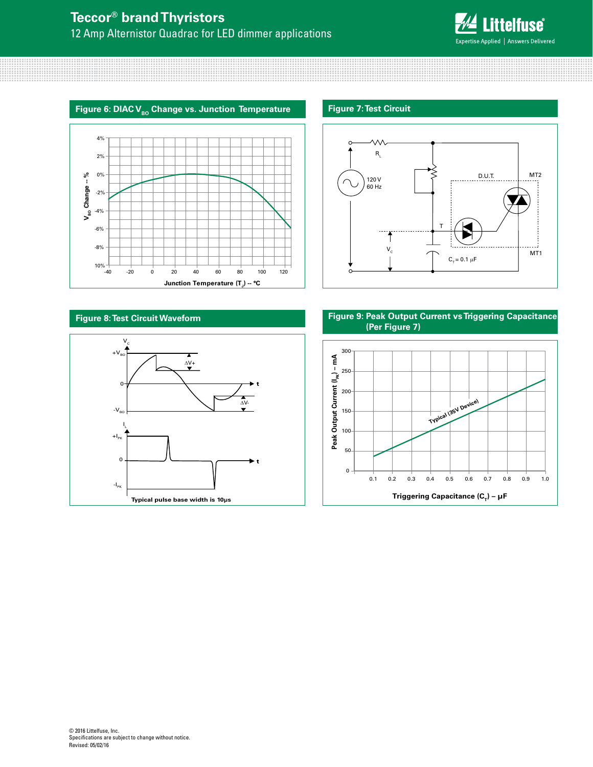

## Figure 6: DIAC V<sub>BO</sub> Change vs. Junction Temperature

## **Figure 7: Test Circuit**





## **Figure 8: Test Circuit Waveform**



**Figure 9: Peak Output Current vs Triggering Capacitance (Per Figure 7)**

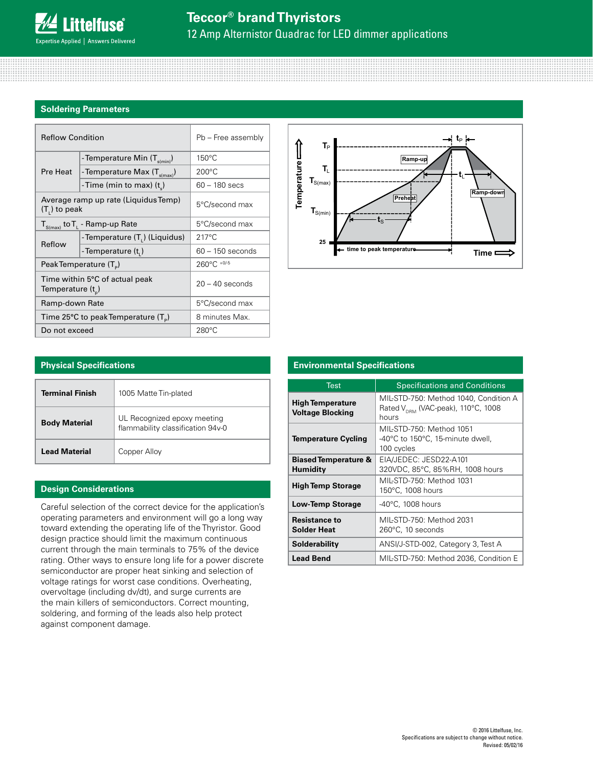## **Soldering Parameters**

| <b>Reflow Condition</b>                                   |                                           | Pb - Free assembly |  |
|-----------------------------------------------------------|-------------------------------------------|--------------------|--|
|                                                           | - Temperature Min (T <sub>s(min)</sub> )  | 150°C              |  |
| Pre Heat                                                  | - Temperature Max (T <sub>s(max)</sub> )  | $200^{\circ}$ C    |  |
|                                                           | -Time (min to max) $(t_s)$                | $60 - 180$ secs    |  |
| Average ramp up rate (Liquidus Temp)<br>$(T1)$ to peak    |                                           | 5°C/second max     |  |
| $T_{S(max)}$ to $T_{L}$ - Ramp-up Rate                    |                                           | 5°C/second max     |  |
| Reflow                                                    | -Temperature (T <sub>1</sub> ) (Liquidus) | $217^{\circ}$ C    |  |
|                                                           | -Temperature (t <sub>1</sub> )            | $60 - 150$ seconds |  |
| Peak Temperature $(T_p)$                                  |                                           | 260°C +0/-5        |  |
| Time within 5°C of actual peak<br>Temperature $(t_{n})$   |                                           | $20 - 40$ seconds  |  |
| Ramp-down Rate                                            |                                           | 5°C/second max     |  |
| Time 25 $\degree$ C to peak Temperature (T <sub>o</sub> ) |                                           | 8 minutes Max.     |  |
| Do not exceed                                             |                                           | $280^{\circ}$ C    |  |



| <b>Physical Specifications</b> |                                                                  |  |
|--------------------------------|------------------------------------------------------------------|--|
| <b>Terminal Finish</b>         | 1005 Matte Tin-plated                                            |  |
| <b>Body Material</b>           | UL Recognized epoxy meeting<br>flammability classification 94v-0 |  |
| <b>Lead Material</b>           | Copper Alloy                                                     |  |

## **Design Considerations**

Careful selection of the correct device for the application's operating parameters and environment will go a long way toward extending the operating life of the Thyristor. Good design practice should limit the maximum continuous current through the main terminals to 75% of the device rating. Other ways to ensure long life for a power discrete semiconductor are proper heat sinking and selection of voltage ratings for worst case conditions. Overheating, overvoltage (including dv/dt), and surge currents are the main killers of semiconductors. Correct mounting, soldering, and forming of the leads also help protect against component damage.

#### Test **Specifications and Conditions High Temperature Voltage Blocking** MIL-STD-750: Method 1040, Condition A Rated  $V_{DRM}$  (VAC-peak), 110°C, 1008 hours **Temperature Cycling** MIL-STD-750: Method 1051 -40°C to 150°C, 15-minute dwell, 100 cycles **Biased Temperature & Humidity** EIA/JEDEC: JESD22-A101 320VDC, 85°C, 85%RH, 1008 hours **High Temp Storage** MIL-STD-750: Method 1031 150°C, 1008 hours **Low-Temp Storage** | -40°C, 1008 hours **Resistance to Solder Heat** MIL-STD-750: Method 2031 260°C, 10 seconds **Solderability** ANSI/J-STD-002, Category 3, Test A **Lead Bend** MIL-STD-750: Method 2036, Condition E

## **Environmental Specifications**